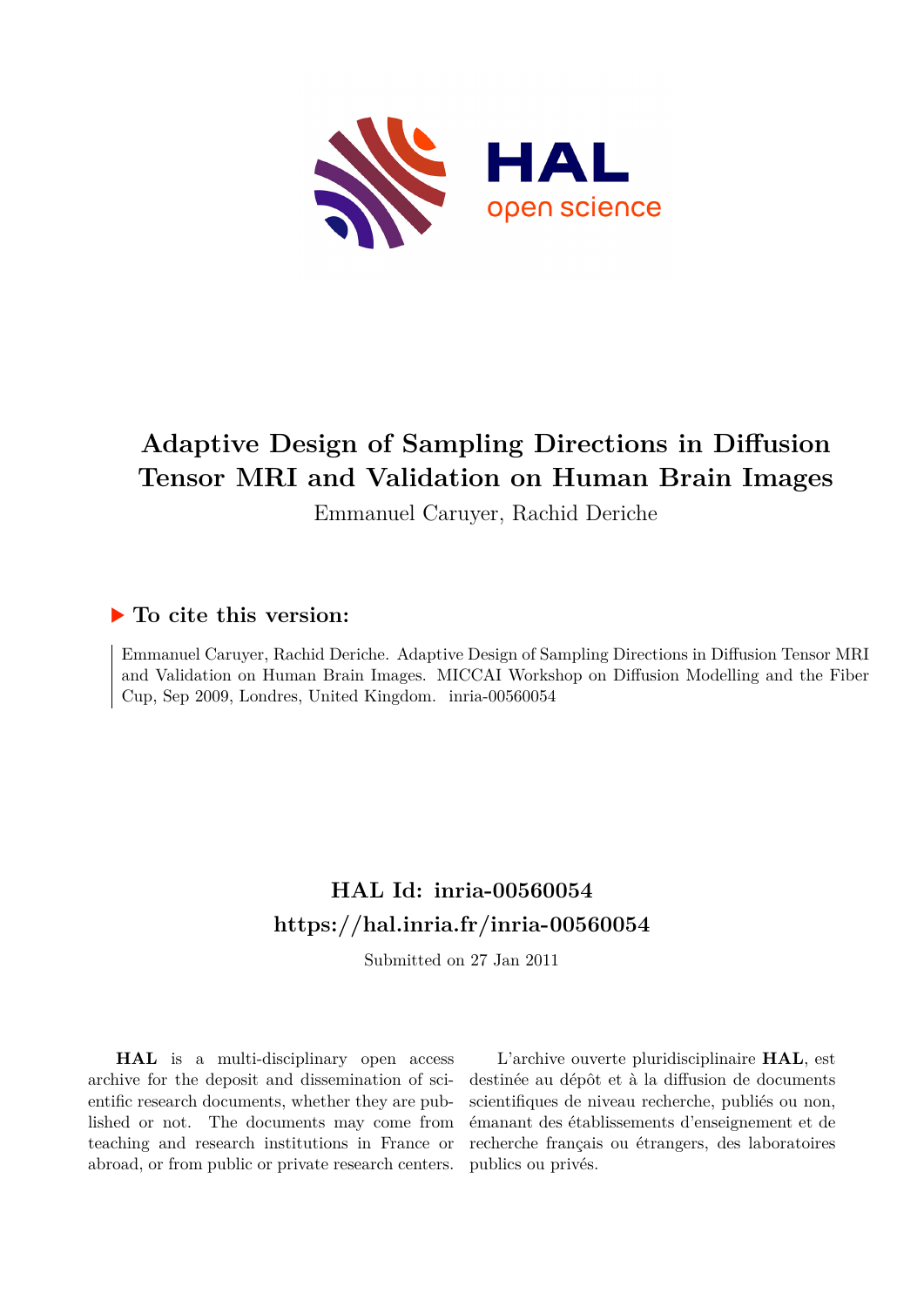

# **Adaptive Design of Sampling Directions in Diffusion Tensor MRI and Validation on Human Brain Images**

Emmanuel Caruyer, Rachid Deriche

# **To cite this version:**

Emmanuel Caruyer, Rachid Deriche. Adaptive Design of Sampling Directions in Diffusion Tensor MRI and Validation on Human Brain Images. MICCAI Workshop on Diffusion Modelling and the Fiber Cup, Sep 2009, Londres, United Kingdom. inria-00560054

# **HAL Id: inria-00560054 <https://hal.inria.fr/inria-00560054>**

Submitted on 27 Jan 2011

**HAL** is a multi-disciplinary open access archive for the deposit and dissemination of scientific research documents, whether they are published or not. The documents may come from teaching and research institutions in France or abroad, or from public or private research centers.

L'archive ouverte pluridisciplinaire **HAL**, est destinée au dépôt et à la diffusion de documents scientifiques de niveau recherche, publiés ou non, émanant des établissements d'enseignement et de recherche français ou étrangers, des laboratoires publics ou privés.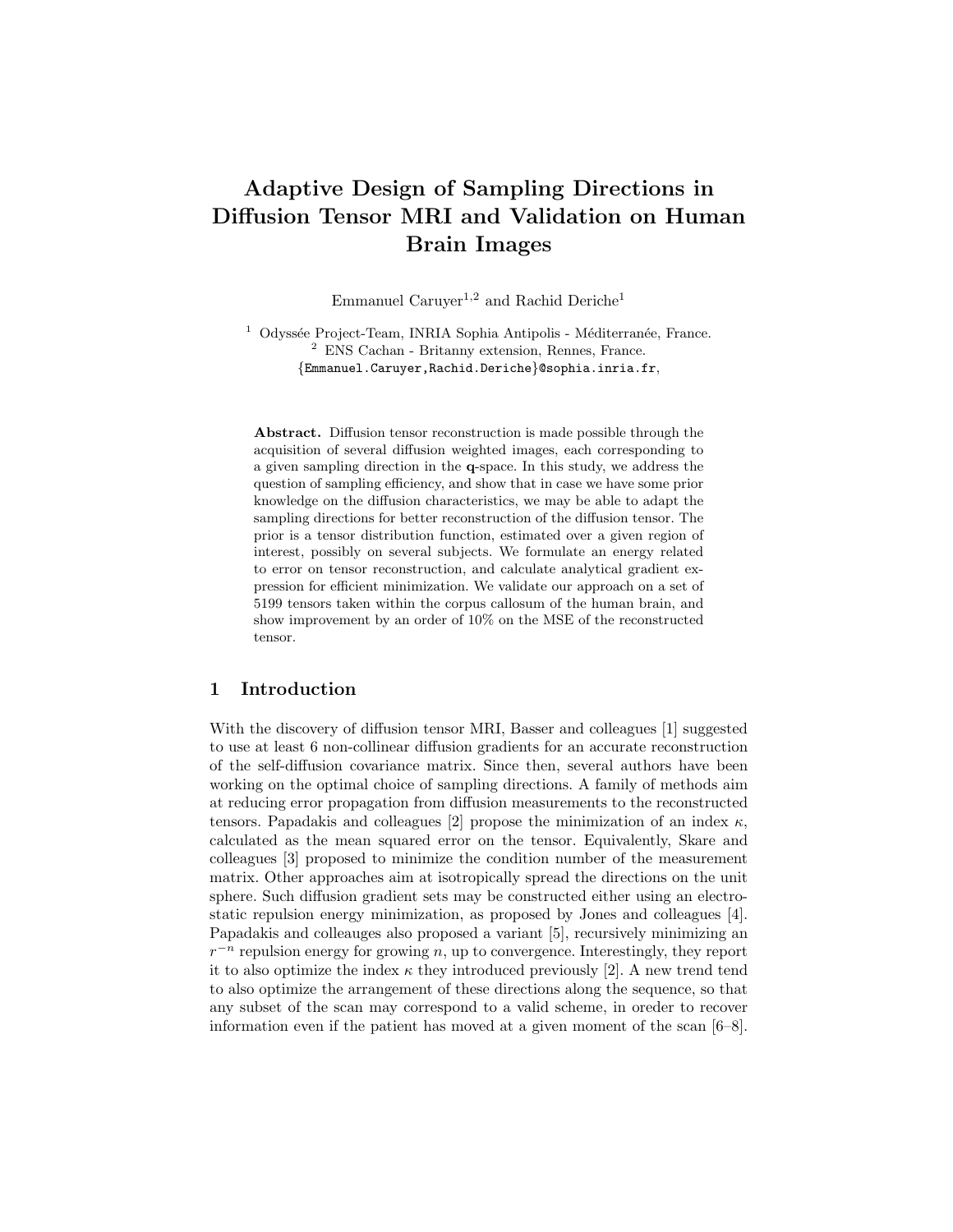# Adaptive Design of Sampling Directions in Diffusion Tensor MRI and Validation on Human Brain Images

Emmanuel Caruyer<sup>1,2</sup> and Rachid Deriche<sup>1</sup>

 $1$  Odyssée Project-Team, INRIA Sophia Antipolis - Méditerranée, France. <sup>2</sup> ENS Cachan - Britanny extension, Rennes, France. {Emmanuel.Caruyer,Rachid.Deriche}@sophia.inria.fr,

Abstract. Diffusion tensor reconstruction is made possible through the acquisition of several diffusion weighted images, each corresponding to a given sampling direction in the q-space. In this study, we address the question of sampling efficiency, and show that in case we have some prior knowledge on the diffusion characteristics, we may be able to adapt the sampling directions for better reconstruction of the diffusion tensor. The prior is a tensor distribution function, estimated over a given region of interest, possibly on several subjects. We formulate an energy related to error on tensor reconstruction, and calculate analytical gradient expression for efficient minimization. We validate our approach on a set of 5199 tensors taken within the corpus callosum of the human brain, and show improvement by an order of 10% on the MSE of the reconstructed tensor.

### 1 Introduction

With the discovery of diffusion tensor MRI, Basser and colleagues [1] suggested to use at least 6 non-collinear diffusion gradients for an accurate reconstruction of the self-diffusion covariance matrix. Since then, several authors have been working on the optimal choice of sampling directions. A family of methods aim at reducing error propagation from diffusion measurements to the reconstructed tensors. Papadakis and colleagues [2] propose the minimization of an index  $\kappa$ , calculated as the mean squared error on the tensor. Equivalently, Skare and colleagues [3] proposed to minimize the condition number of the measurement matrix. Other approaches aim at isotropically spread the directions on the unit sphere. Such diffusion gradient sets may be constructed either using an electrostatic repulsion energy minimization, as proposed by Jones and colleagues [4]. Papadakis and colleauges also proposed a variant [5], recursively minimizing an  $r^{-n}$  repulsion energy for growing n, up to convergence. Interestingly, they report it to also optimize the index  $\kappa$  they introduced previously [2]. A new trend tend to also optimize the arrangement of these directions along the sequence, so that any subset of the scan may correspond to a valid scheme, in oreder to recover information even if the patient has moved at a given moment of the scan [6–8].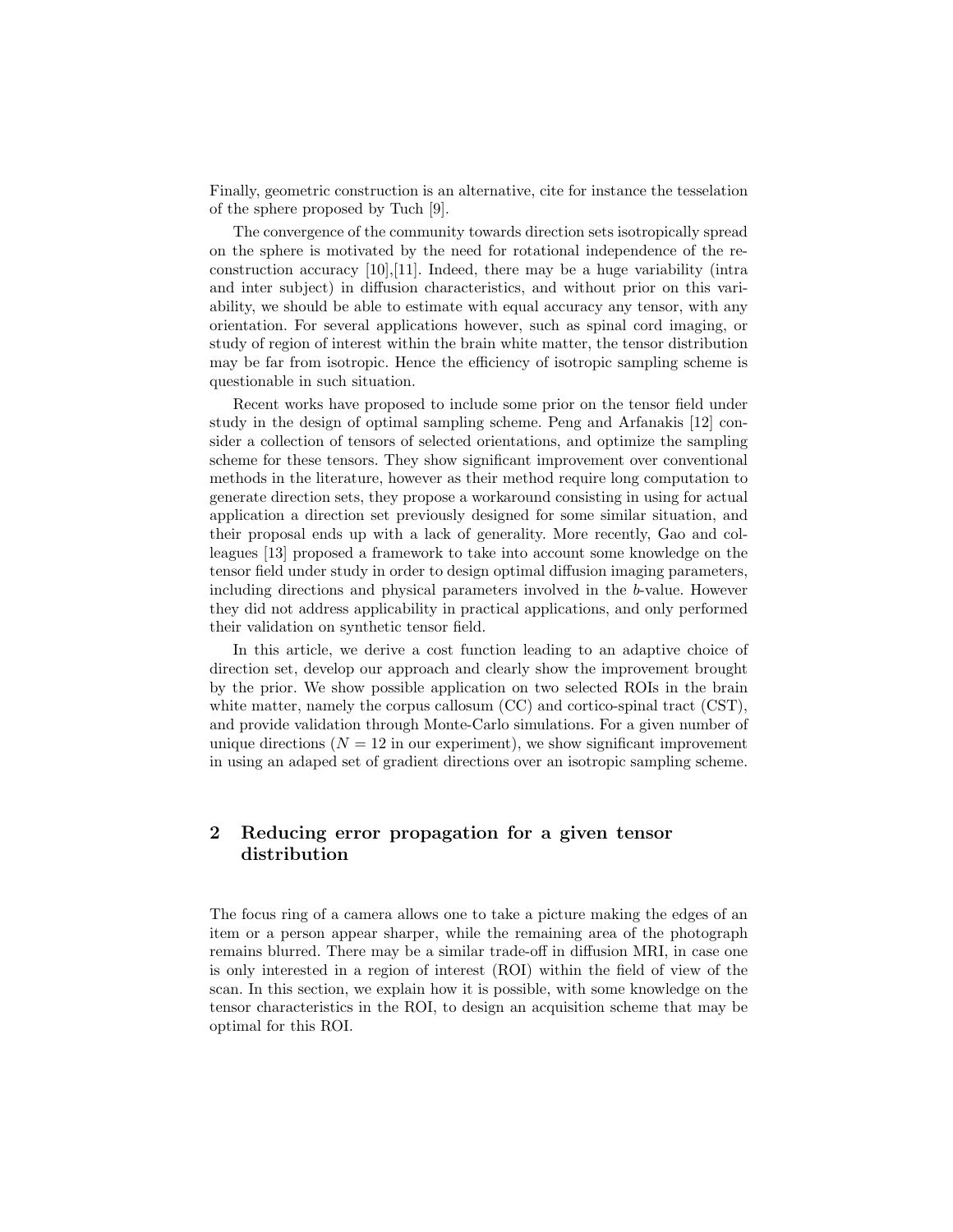Finally, geometric construction is an alternative, cite for instance the tesselation of the sphere proposed by Tuch [9].

The convergence of the community towards direction sets isotropically spread on the sphere is motivated by the need for rotational independence of the reconstruction accuracy [10],[11]. Indeed, there may be a huge variability (intra and inter subject) in diffusion characteristics, and without prior on this variability, we should be able to estimate with equal accuracy any tensor, with any orientation. For several applications however, such as spinal cord imaging, or study of region of interest within the brain white matter, the tensor distribution may be far from isotropic. Hence the efficiency of isotropic sampling scheme is questionable in such situation.

Recent works have proposed to include some prior on the tensor field under study in the design of optimal sampling scheme. Peng and Arfanakis [12] consider a collection of tensors of selected orientations, and optimize the sampling scheme for these tensors. They show significant improvement over conventional methods in the literature, however as their method require long computation to generate direction sets, they propose a workaround consisting in using for actual application a direction set previously designed for some similar situation, and their proposal ends up with a lack of generality. More recently, Gao and colleagues [13] proposed a framework to take into account some knowledge on the tensor field under study in order to design optimal diffusion imaging parameters, including directions and physical parameters involved in the b-value. However they did not address applicability in practical applications, and only performed their validation on synthetic tensor field.

In this article, we derive a cost function leading to an adaptive choice of direction set, develop our approach and clearly show the improvement brought by the prior. We show possible application on two selected ROIs in the brain white matter, namely the corpus callosum (CC) and cortico-spinal tract (CST). and provide validation through Monte-Carlo simulations. For a given number of unique directions  $(N = 12$  in our experiment), we show significant improvement in using an adaped set of gradient directions over an isotropic sampling scheme.

## 2 Reducing error propagation for a given tensor distribution

The focus ring of a camera allows one to take a picture making the edges of an item or a person appear sharper, while the remaining area of the photograph remains blurred. There may be a similar trade-off in diffusion MRI, in case one is only interested in a region of interest (ROI) within the field of view of the scan. In this section, we explain how it is possible, with some knowledge on the tensor characteristics in the ROI, to design an acquisition scheme that may be optimal for this ROI.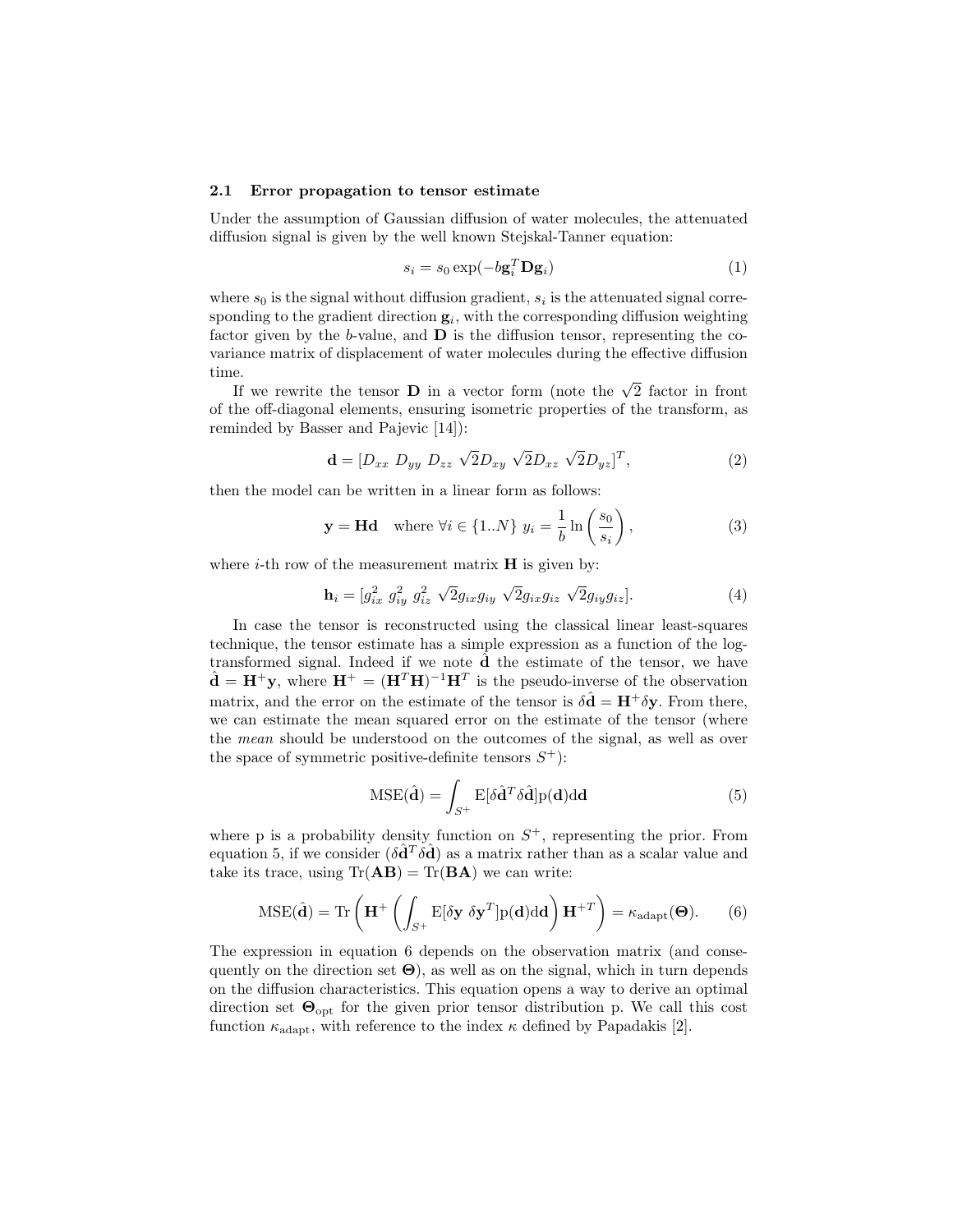#### 2.1 Error propagation to tensor estimate

Under the assumption of Gaussian diffusion of water molecules, the attenuated diffusion signal is given by the well known Stejskal-Tanner equation:

$$
s_i = s_0 \exp(-b \mathbf{g}_i^T \mathbf{D} \mathbf{g}_i)
$$
 (1)

where  $s_0$  is the signal without diffusion gradient,  $s_i$  is the attenuated signal corresponding to the gradient direction  $g_i$ , with the corresponding diffusion weighting factor given by the b-value, and  $\bf{D}$  is the diffusion tensor, representing the covariance matrix of displacement of water molecules during the effective diffusion time.

If we rewrite the tensor **D** in a vector form (note the  $\sqrt{2}$  factor in front of the off-diagonal elements, ensuring isometric properties of the transform, as reminded by Basser and Pajevic [14]):

$$
\mathbf{d} = [D_{xx} \ D_{yy} \ D_{zz} \ \sqrt{2} D_{xy} \ \sqrt{2} D_{xz} \ \sqrt{2} D_{yz}]^{T}, \tag{2}
$$

then the model can be written in a linear form as follows:

$$
\mathbf{y} = \mathbf{H} \mathbf{d} \quad \text{where } \forall i \in \{1..N\} \ y_i = \frac{1}{b} \ln \left( \frac{s_0}{s_i} \right), \tag{3}
$$

where  $i$ -th row of the measurement matrix  $H$  is given by:

$$
\mathbf{h}_{i} = [g_{ix}^{2} \ g_{iy}^{2} \ g_{iz}^{2} \ \sqrt{2}g_{ix}g_{iy} \ \sqrt{2}g_{ix}g_{iz} \ \sqrt{2}g_{iy}g_{iz}]. \tag{4}
$$

In case the tensor is reconstructed using the classical linear least-squares technique, the tensor estimate has a simple expression as a function of the logtransformed signal. Indeed if we note  $\hat{d}$  the estimate of the tensor, we have  $\hat{\mathbf{d}} = \mathbf{H}^+ \mathbf{y}$ , where  $\mathbf{H}^+ = (\mathbf{H}^T \mathbf{H})^{-1} \mathbf{H}^T$  is the pseudo-inverse of the observation matrix, and the error on the estimate of the tensor is  $\delta \hat{\mathbf{d}} = \mathbf{H}^+ \delta \mathbf{y}$ . From there, we can estimate the mean squared error on the estimate of the tensor (where the mean should be understood on the outcomes of the signal, as well as over the space of symmetric positive-definite tensors  $S^+$ :

$$
MSE(\hat{\mathbf{d}}) = \int_{S^+} E[\delta \hat{\mathbf{d}}^T \delta \hat{\mathbf{d}}] p(\mathbf{d}) d\mathbf{d}
$$
 (5)

where p is a probability density function on  $S^+$ , representing the prior. From equation 5, if we consider  $(\delta \hat{d}^T \delta \hat{d})$  as a matrix rather than as a scalar value and take its trace, using  $Tr(AB) = Tr(BA)$  we can write:

$$
\text{MSE}(\hat{\mathbf{d}}) = \text{Tr}\left(\mathbf{H}^+ \left( \int_{S^+} \mathbf{E}[\delta \mathbf{y} \ \delta \mathbf{y}^T] \mathbf{p}(\mathbf{d}) \mathrm{d} \mathbf{d} \right) \mathbf{H}^{+T} \right) = \kappa_{\text{adapt}}(\mathbf{\Theta}).\tag{6}
$$

The expression in equation 6 depends on the observation matrix (and consequently on the direction set  $\Theta$ ), as well as on the signal, which in turn depends on the diffusion characteristics. This equation opens a way to derive an optimal direction set  $\Theta_{\text{opt}}$  for the given prior tensor distribution p. We call this cost function  $\kappa_{\text{adapt}}$ , with reference to the index  $\kappa$  defined by Papadakis [2].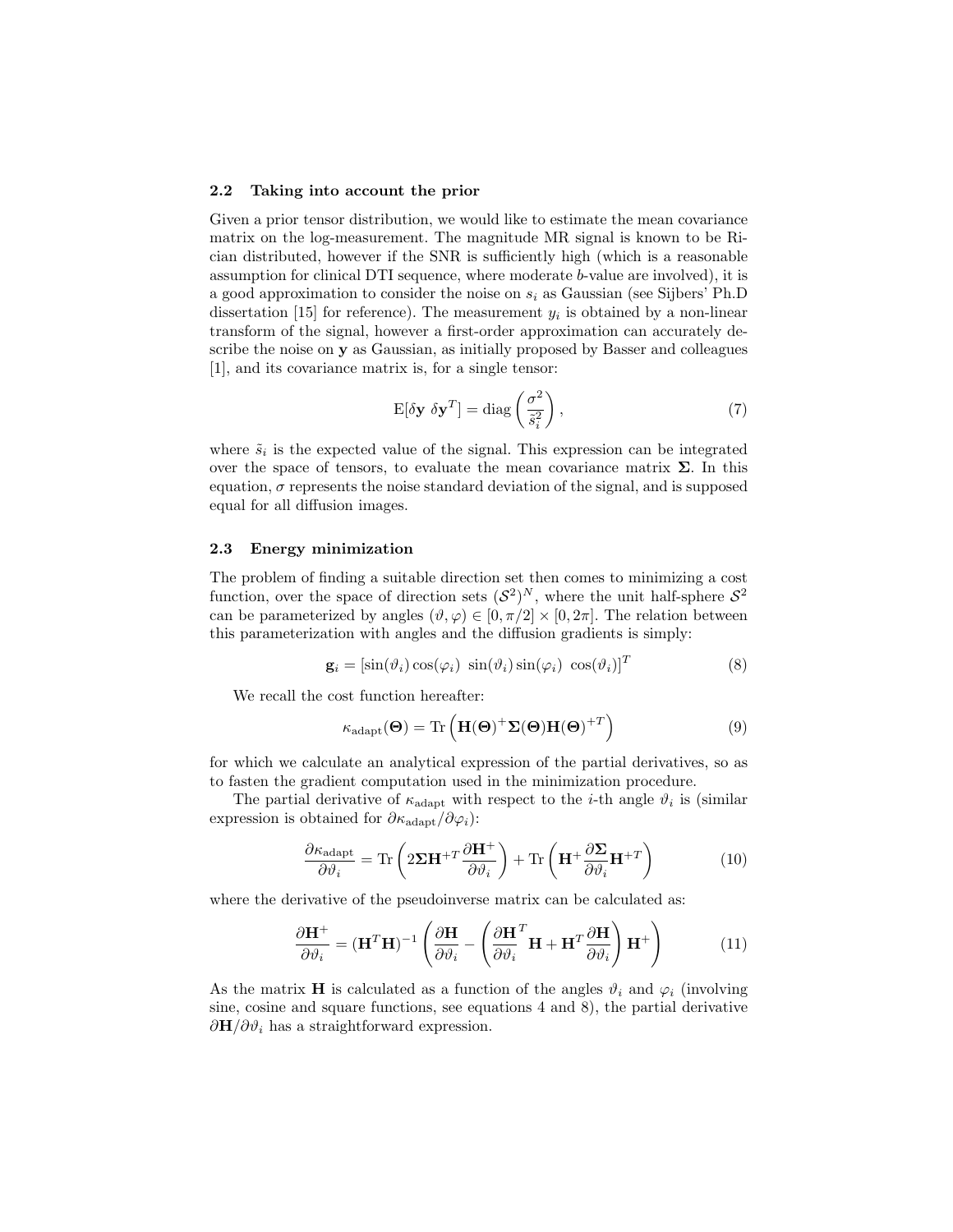#### 2.2 Taking into account the prior

Given a prior tensor distribution, we would like to estimate the mean covariance matrix on the log-measurement. The magnitude MR signal is known to be Rician distributed, however if the SNR is sufficiently high (which is a reasonable assumption for clinical DTI sequence, where moderate b-value are involved), it is a good approximation to consider the noise on  $s_i$  as Gaussian (see Sijbers' Ph.D dissertation [15] for reference). The measurement  $y_i$  is obtained by a non-linear transform of the signal, however a first-order approximation can accurately describe the noise on y as Gaussian, as initially proposed by Basser and colleagues [1], and its covariance matrix is, for a single tensor:

$$
E[\delta \mathbf{y} \ \delta \mathbf{y}^T] = \text{diag}\left(\frac{\sigma^2}{\tilde{s}_i^2}\right),\tag{7}
$$

where  $\tilde{s}_i$  is the expected value of the signal. This expression can be integrated over the space of tensors, to evaluate the mean covariance matrix  $\Sigma$ . In this equation,  $\sigma$  represents the noise standard deviation of the signal, and is supposed equal for all diffusion images.

#### 2.3 Energy minimization

The problem of finding a suitable direction set then comes to minimizing a cost function, over the space of direction sets  $(S^2)^N$ , where the unit half-sphere  $S^2$ can be parameterized by angles  $(\vartheta, \varphi) \in [0, \pi/2] \times [0, 2\pi]$ . The relation between this parameterization with angles and the diffusion gradients is simply:

$$
\mathbf{g}_i = [\sin(\vartheta_i)\cos(\varphi_i)\ \sin(\vartheta_i)\sin(\varphi_i)\ \cos(\vartheta_i)]^T
$$
\n(8)

We recall the cost function hereafter:

$$
\kappa_{\rm adapt}(\Theta) = \text{Tr}\left(\mathbf{H}(\Theta)^{+}\Sigma(\Theta)\mathbf{H}(\Theta)^{+T}\right)
$$
\n(9)

for which we calculate an analytical expression of the partial derivatives, so as to fasten the gradient computation used in the minimization procedure.

The partial derivative of  $\kappa_{\rm adapt}$  with respect to the *i*-th angle  $\vartheta_i$  is (similar expression is obtained for  $\partial \kappa_{\rm adapt} / \partial \varphi_i$ :

$$
\frac{\partial \kappa_{\text{adapt}}}{\partial \vartheta_i} = \text{Tr}\left(2\Sigma \mathbf{H}^{+T} \frac{\partial \mathbf{H}^+}{\partial \vartheta_i}\right) + \text{Tr}\left(\mathbf{H}^+ \frac{\partial \Sigma}{\partial \vartheta_i} \mathbf{H}^{+T}\right) \tag{10}
$$

where the derivative of the pseudoinverse matrix can be calculated as:

$$
\frac{\partial \mathbf{H}^+}{\partial \vartheta_i} = (\mathbf{H}^T \mathbf{H})^{-1} \left( \frac{\partial \mathbf{H}}{\partial \vartheta_i} - \left( \frac{\partial \mathbf{H}^T}{\partial \vartheta_i} \mathbf{H} + \mathbf{H}^T \frac{\partial \mathbf{H}}{\partial \vartheta_i} \right) \mathbf{H}^+ \right)
$$
(11)

As the matrix **H** is calculated as a function of the angles  $\vartheta_i$  and  $\varphi_i$  (involving sine, cosine and square functions, see equations 4 and 8), the partial derivative  $\partial \mathbf{H}/\partial \vartheta_i$  has a straightforward expression.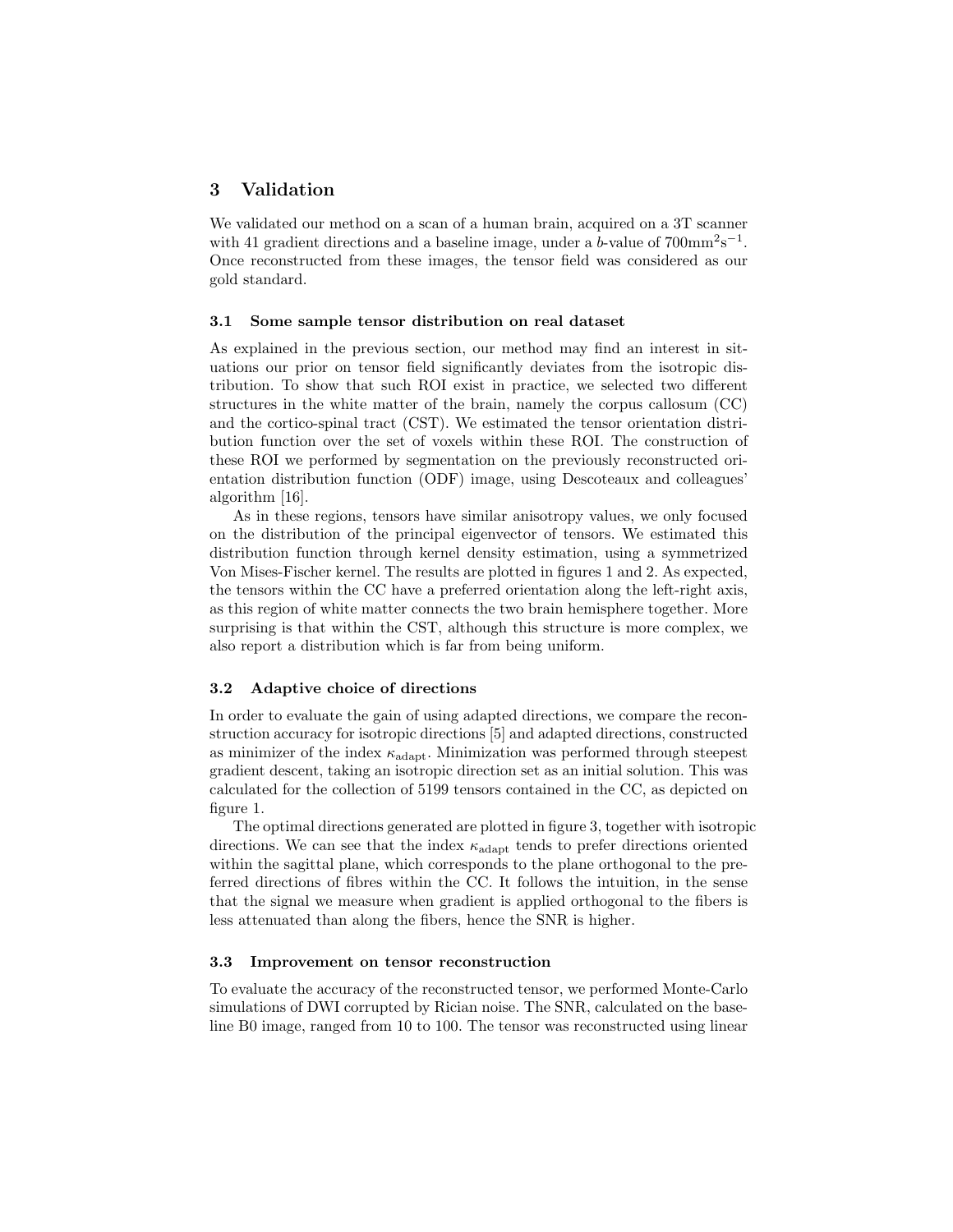#### 3 Validation

We validated our method on a scan of a human brain, acquired on a 3T scanner with 41 gradient directions and a baseline image, under a b-value of  $700 \text{mm}^2 \text{s}^{-1}$ . Once reconstructed from these images, the tensor field was considered as our gold standard.

#### 3.1 Some sample tensor distribution on real dataset

As explained in the previous section, our method may find an interest in situations our prior on tensor field significantly deviates from the isotropic distribution. To show that such ROI exist in practice, we selected two different structures in the white matter of the brain, namely the corpus callosum (CC) and the cortico-spinal tract (CST). We estimated the tensor orientation distribution function over the set of voxels within these ROI. The construction of these ROI we performed by segmentation on the previously reconstructed orientation distribution function (ODF) image, using Descoteaux and colleagues' algorithm [16].

As in these regions, tensors have similar anisotropy values, we only focused on the distribution of the principal eigenvector of tensors. We estimated this distribution function through kernel density estimation, using a symmetrized Von Mises-Fischer kernel. The results are plotted in figures 1 and 2. As expected, the tensors within the CC have a preferred orientation along the left-right axis, as this region of white matter connects the two brain hemisphere together. More surprising is that within the CST, although this structure is more complex, we also report a distribution which is far from being uniform.

#### 3.2 Adaptive choice of directions

In order to evaluate the gain of using adapted directions, we compare the reconstruction accuracy for isotropic directions [5] and adapted directions, constructed as minimizer of the index  $\kappa_{\rm adapt}$ . Minimization was performed through steepest gradient descent, taking an isotropic direction set as an initial solution. This was calculated for the collection of 5199 tensors contained in the CC, as depicted on figure 1.

The optimal directions generated are plotted in figure 3, together with isotropic directions. We can see that the index  $\kappa_{\rm adapt}$  tends to prefer directions oriented within the sagittal plane, which corresponds to the plane orthogonal to the preferred directions of fibres within the CC. It follows the intuition, in the sense that the signal we measure when gradient is applied orthogonal to the fibers is less attenuated than along the fibers, hence the SNR is higher.

#### 3.3 Improvement on tensor reconstruction

To evaluate the accuracy of the reconstructed tensor, we performed Monte-Carlo simulations of DWI corrupted by Rician noise. The SNR, calculated on the baseline B0 image, ranged from 10 to 100. The tensor was reconstructed using linear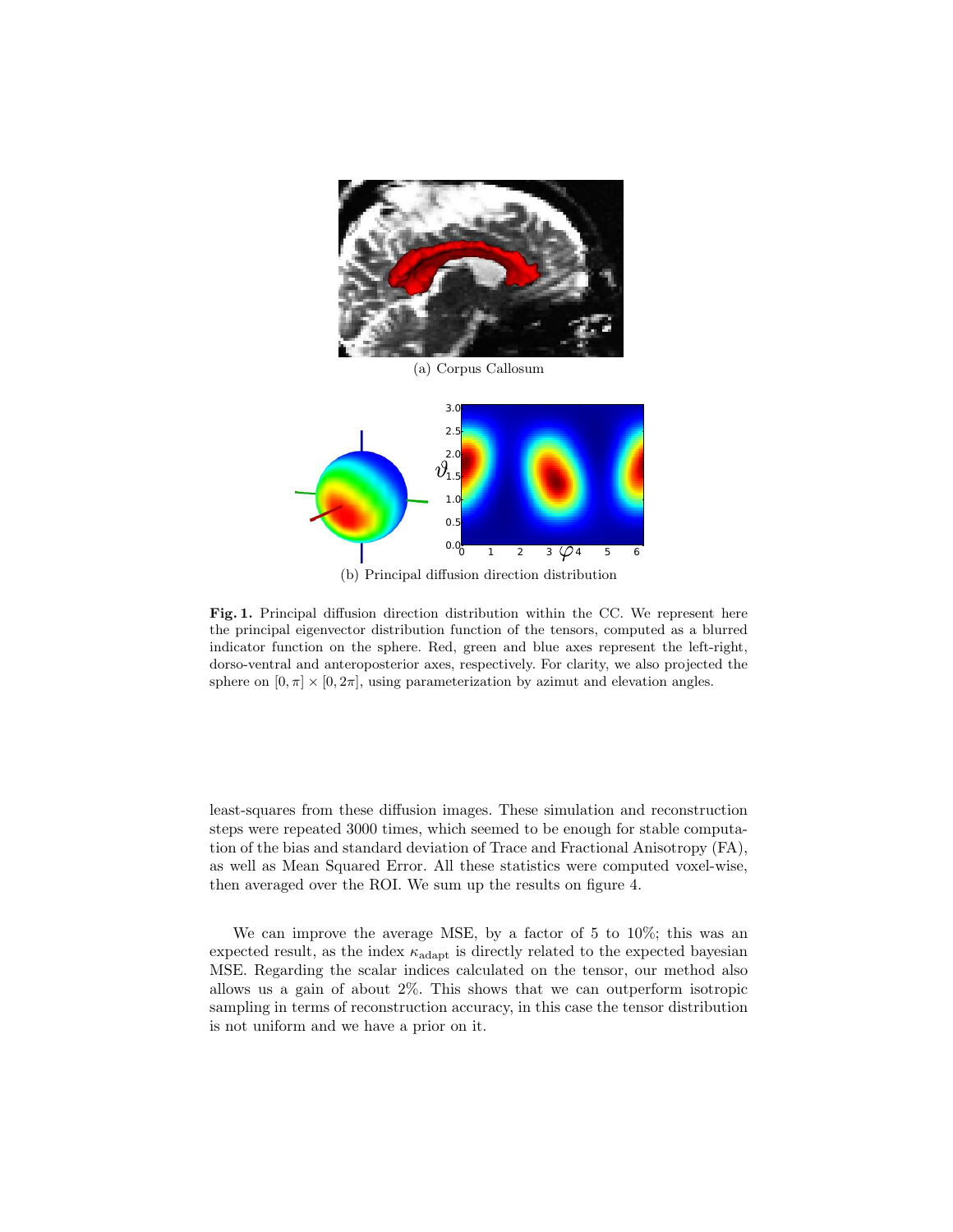

(a) Corpus Callosum



(b) Principal diffusion direction distribution

Fig. 1. Principal diffusion direction distribution within the CC. We represent here the principal eigenvector distribution function of the tensors, computed as a blurred indicator function on the sphere. Red, green and blue axes represent the left-right, dorso-ventral and anteroposterior axes, respectively. For clarity, we also projected the sphere on  $[0, \pi] \times [0, 2\pi]$ , using parameterization by azimut and elevation angles.

least-squares from these diffusion images. These simulation and reconstruction steps were repeated 3000 times, which seemed to be enough for stable computation of the bias and standard deviation of Trace and Fractional Anisotropy (FA), as well as Mean Squared Error. All these statistics were computed voxel-wise, then averaged over the ROI. We sum up the results on figure 4.

We can improve the average MSE, by a factor of 5 to 10%; this was an expected result, as the index  $\kappa_{\rm adapt}$  is directly related to the expected bayesian MSE. Regarding the scalar indices calculated on the tensor, our method also allows us a gain of about 2%. This shows that we can outperform isotropic sampling in terms of reconstruction accuracy, in this case the tensor distribution is not uniform and we have a prior on it.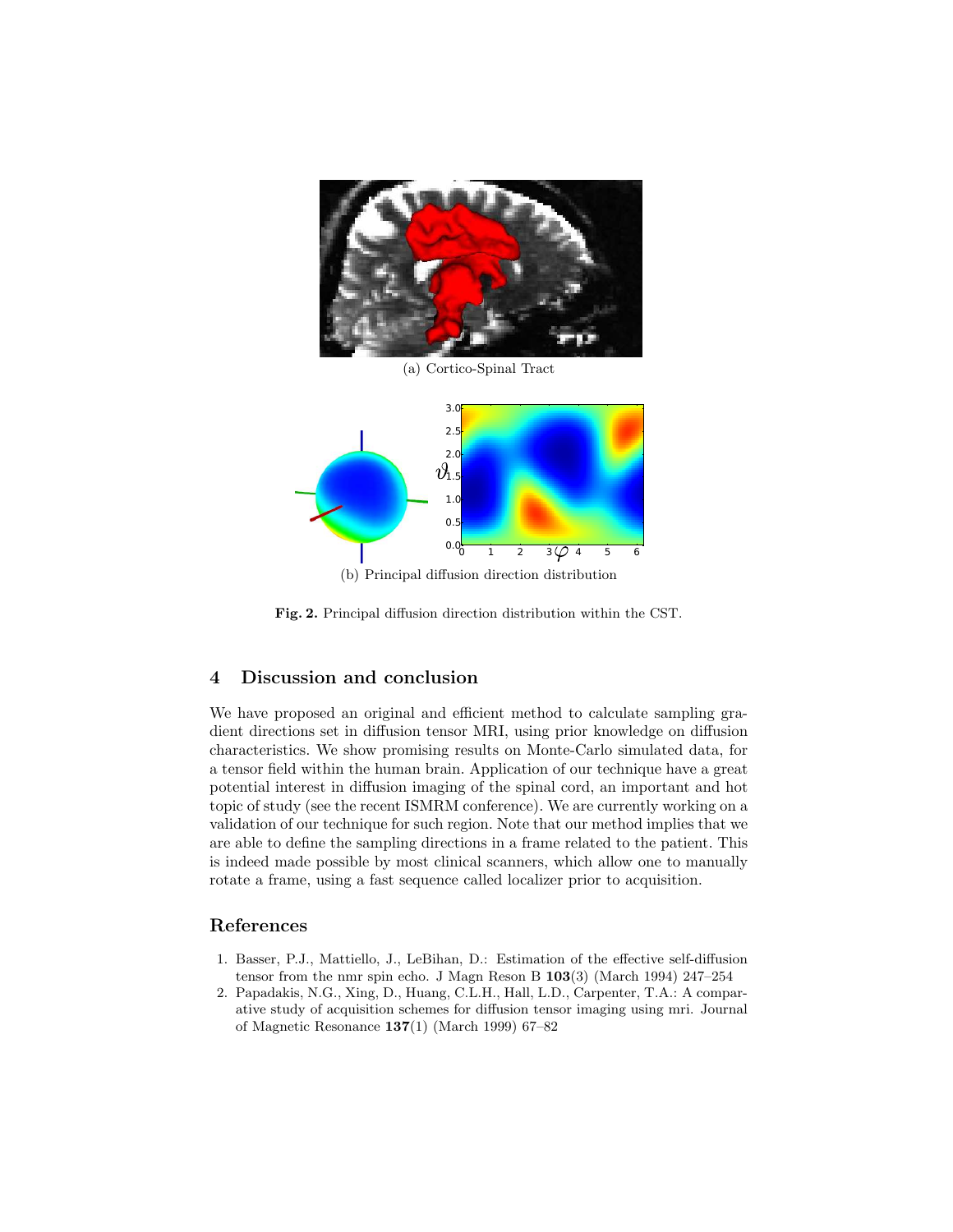

(a) Cortico-Spinal Tract



(b) Principal diffusion direction distribution

Fig. 2. Principal diffusion direction distribution within the CST.

## 4 Discussion and conclusion

We have proposed an original and efficient method to calculate sampling gradient directions set in diffusion tensor MRI, using prior knowledge on diffusion characteristics. We show promising results on Monte-Carlo simulated data, for a tensor field within the human brain. Application of our technique have a great potential interest in diffusion imaging of the spinal cord, an important and hot topic of study (see the recent ISMRM conference). We are currently working on a validation of our technique for such region. Note that our method implies that we are able to define the sampling directions in a frame related to the patient. This is indeed made possible by most clinical scanners, which allow one to manually rotate a frame, using a fast sequence called localizer prior to acquisition.

### References

- 1. Basser, P.J., Mattiello, J., LeBihan, D.: Estimation of the effective self-diffusion tensor from the nmr spin echo. J Magn Reson B 103(3) (March 1994) 247–254
- 2. Papadakis, N.G., Xing, D., Huang, C.L.H., Hall, L.D., Carpenter, T.A.: A comparative study of acquisition schemes for diffusion tensor imaging using mri. Journal of Magnetic Resonance 137(1) (March 1999) 67–82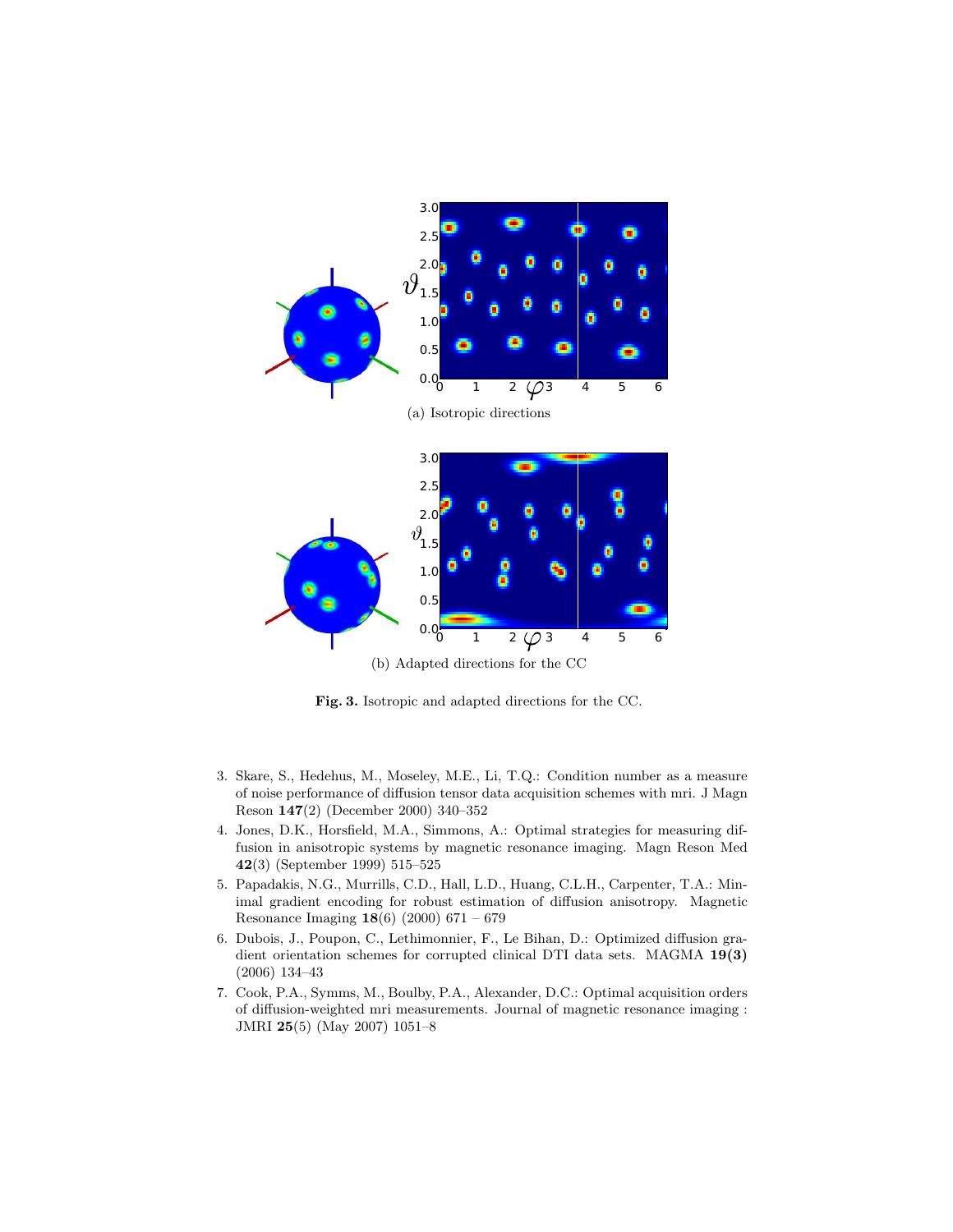

Fig. 3. Isotropic and adapted directions for the CC.

- 3. Skare, S., Hedehus, M., Moseley, M.E., Li, T.Q.: Condition number as a measure of noise performance of diffusion tensor data acquisition schemes with mri. J Magn Reson 147(2) (December 2000) 340–352
- 4. Jones, D.K., Horsfield, M.A., Simmons, A.: Optimal strategies for measuring diffusion in anisotropic systems by magnetic resonance imaging. Magn Reson Med 42(3) (September 1999) 515–525
- 5. Papadakis, N.G., Murrills, C.D., Hall, L.D., Huang, C.L.H., Carpenter, T.A.: Minimal gradient encoding for robust estimation of diffusion anisotropy. Magnetic Resonance Imaging 18(6) (2000) 671 – 679
- 6. Dubois, J., Poupon, C., Lethimonnier, F., Le Bihan, D.: Optimized diffusion gradient orientation schemes for corrupted clinical DTI data sets. MAGMA 19(3) (2006) 134–43
- 7. Cook, P.A., Symms, M., Boulby, P.A., Alexander, D.C.: Optimal acquisition orders of diffusion-weighted mri measurements. Journal of magnetic resonance imaging : JMRI 25(5) (May 2007) 1051–8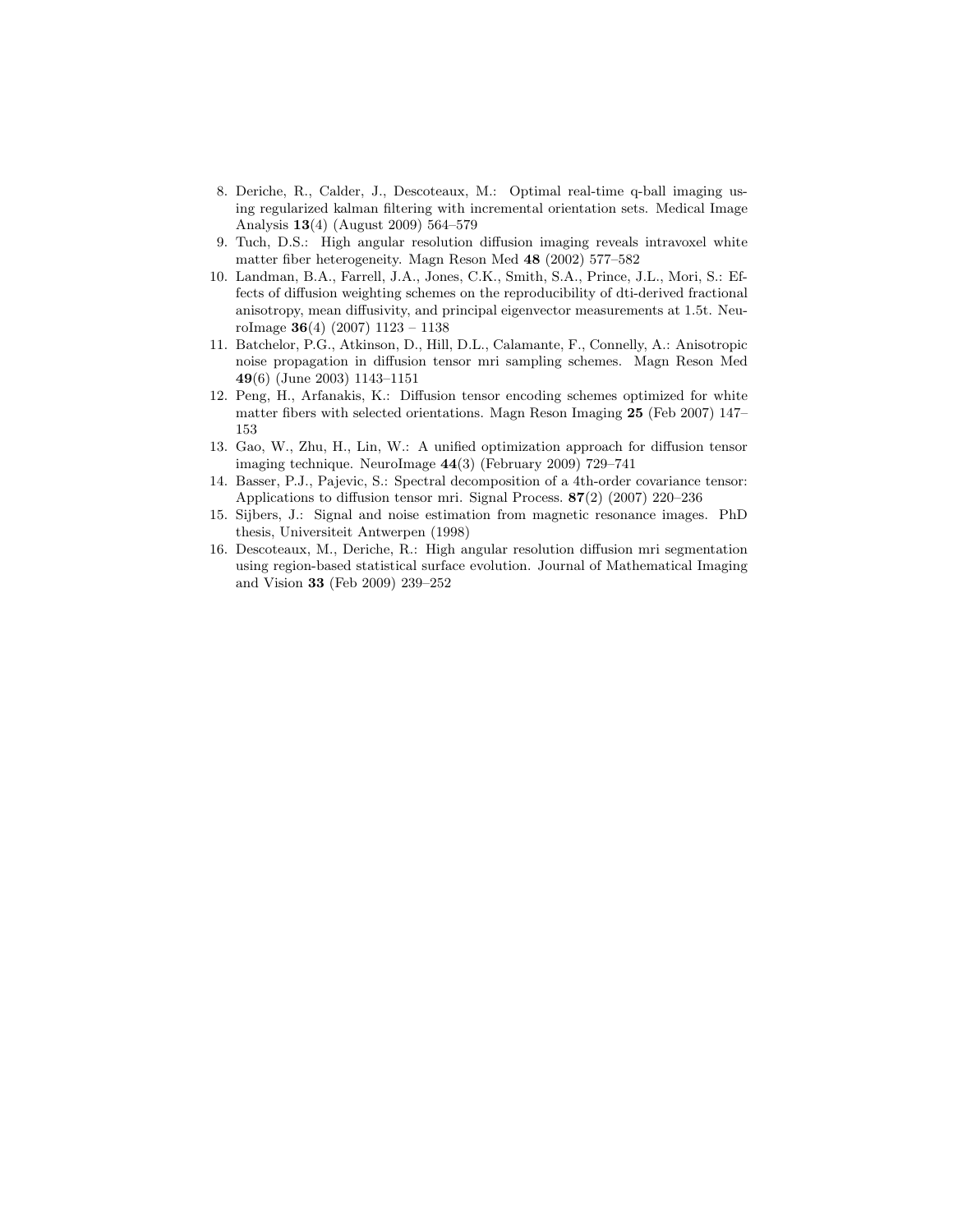- 8. Deriche, R., Calder, J., Descoteaux, M.: Optimal real-time q-ball imaging using regularized kalman filtering with incremental orientation sets. Medical Image Analysis 13(4) (August 2009) 564–579
- 9. Tuch, D.S.: High angular resolution diffusion imaging reveals intravoxel white matter fiber heterogeneity. Magn Reson Med 48 (2002) 577–582
- 10. Landman, B.A., Farrell, J.A., Jones, C.K., Smith, S.A., Prince, J.L., Mori, S.: Effects of diffusion weighting schemes on the reproducibility of dti-derived fractional anisotropy, mean diffusivity, and principal eigenvector measurements at 1.5t. NeuroImage  $36(4)$  (2007) 1123 – 1138
- 11. Batchelor, P.G., Atkinson, D., Hill, D.L., Calamante, F., Connelly, A.: Anisotropic noise propagation in diffusion tensor mri sampling schemes. Magn Reson Med 49(6) (June 2003) 1143–1151
- 12. Peng, H., Arfanakis, K.: Diffusion tensor encoding schemes optimized for white matter fibers with selected orientations. Magn Reson Imaging 25 (Feb 2007) 147– 153
- 13. Gao, W., Zhu, H., Lin, W.: A unified optimization approach for diffusion tensor imaging technique. NeuroImage 44(3) (February 2009) 729–741
- 14. Basser, P.J., Pajevic, S.: Spectral decomposition of a 4th-order covariance tensor: Applications to diffusion tensor mri. Signal Process. 87(2) (2007) 220–236
- 15. Sijbers, J.: Signal and noise estimation from magnetic resonance images. PhD thesis, Universiteit Antwerpen (1998)
- 16. Descoteaux, M., Deriche, R.: High angular resolution diffusion mri segmentation using region-based statistical surface evolution. Journal of Mathematical Imaging and Vision 33 (Feb 2009) 239–252